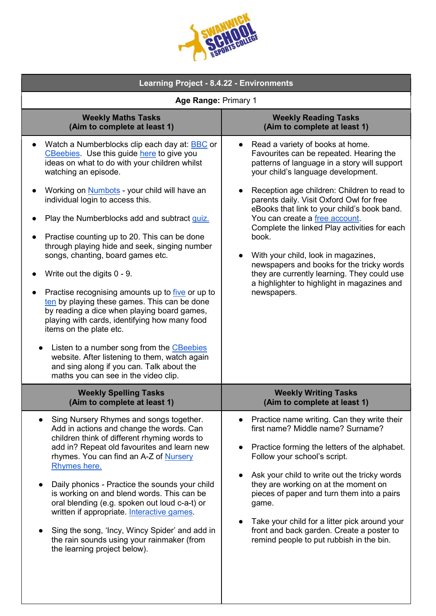| JUEGE<br>TS GOL |  |
|-----------------|--|
|                 |  |

| <b>Learning Project - 8.4.22 - Environments</b>                                                                                                                                                                                                                                                                                                                                                                                                                                                                                                                                                                                                                                                                                                                                                                                                                                                                                                  |                                                                                                                                                                                                                                                                                                                                                                                                                                                                                                                                                                                                         |  |  |
|--------------------------------------------------------------------------------------------------------------------------------------------------------------------------------------------------------------------------------------------------------------------------------------------------------------------------------------------------------------------------------------------------------------------------------------------------------------------------------------------------------------------------------------------------------------------------------------------------------------------------------------------------------------------------------------------------------------------------------------------------------------------------------------------------------------------------------------------------------------------------------------------------------------------------------------------------|---------------------------------------------------------------------------------------------------------------------------------------------------------------------------------------------------------------------------------------------------------------------------------------------------------------------------------------------------------------------------------------------------------------------------------------------------------------------------------------------------------------------------------------------------------------------------------------------------------|--|--|
| Age Range: Primary 1                                                                                                                                                                                                                                                                                                                                                                                                                                                                                                                                                                                                                                                                                                                                                                                                                                                                                                                             |                                                                                                                                                                                                                                                                                                                                                                                                                                                                                                                                                                                                         |  |  |
| <b>Weekly Maths Tasks</b><br>(Aim to complete at least 1)                                                                                                                                                                                                                                                                                                                                                                                                                                                                                                                                                                                                                                                                                                                                                                                                                                                                                        | <b>Weekly Reading Tasks</b><br>(Aim to complete at least 1)                                                                                                                                                                                                                                                                                                                                                                                                                                                                                                                                             |  |  |
| Watch a Numberblocks clip each day at: <b>BBC</b> or<br>$\bullet$<br>CBeebies. Use this guide here to give you<br>ideas on what to do with your children whilst<br>watching an episode.<br>Working on <b>Numbots</b> - your child will have an<br>$\bullet$<br>individual login to access this.<br>Play the Numberblocks add and subtract quiz.<br>Practise counting up to 20. This can be done<br>through playing hide and seek, singing number<br>songs, chanting, board games etc.<br>Write out the digits $0 - 9$ .<br>Practise recognising amounts up to <i>five</i> or up to<br>ten by playing these games. This can be done<br>by reading a dice when playing board games,<br>playing with cards, identifying how many food<br>items on the plate etc.<br>Listen to a number song from the CBeebies<br>website. After listening to them, watch again<br>and sing along if you can. Talk about the<br>maths you can see in the video clip. | Read a variety of books at home.<br>Favourites can be repeated. Hearing the<br>patterns of language in a story will support<br>your child's language development.<br>Reception age children: Children to read to<br>parents daily. Visit Oxford Owl for free<br>eBooks that link to your child's book band.<br>You can create a free account.<br>Complete the linked Play activities for each<br>book.<br>With your child, look in magazines,<br>newspapers and books for the tricky words<br>they are currently learning. They could use<br>a highlighter to highlight in magazines and<br>newspapers. |  |  |
| <b>Weekly Spelling Tasks</b><br>(Aim to complete at least 1)                                                                                                                                                                                                                                                                                                                                                                                                                                                                                                                                                                                                                                                                                                                                                                                                                                                                                     | <b>Weekly Writing Tasks</b><br>(Aim to complete at least 1)                                                                                                                                                                                                                                                                                                                                                                                                                                                                                                                                             |  |  |
| Sing Nursery Rhymes and songs together.<br>Add in actions and change the words. Can<br>children think of different rhyming words to<br>add in? Repeat old favourites and learn new<br>rhymes. You can find an A-Z of Nursery<br>Rhymes here.<br>Daily phonics - Practice the sounds your child<br>is working on and blend words. This can be<br>oral blending (e.g. spoken out loud c-a-t) or<br>written if appropriate. Interactive games.<br>Sing the song, 'Incy, Wincy Spider' and add in<br>the rain sounds using your rainmaker (from<br>the learning project below).                                                                                                                                                                                                                                                                                                                                                                      | Practice name writing. Can they write their<br>first name? Middle name? Surname?<br>Practice forming the letters of the alphabet.<br>Follow your school's script.<br>Ask your child to write out the tricky words<br>they are working on at the moment on<br>pieces of paper and turn them into a pairs<br>game.<br>Take your child for a litter pick around your<br>front and back garden. Create a poster to<br>remind people to put rubbish in the bin.                                                                                                                                              |  |  |